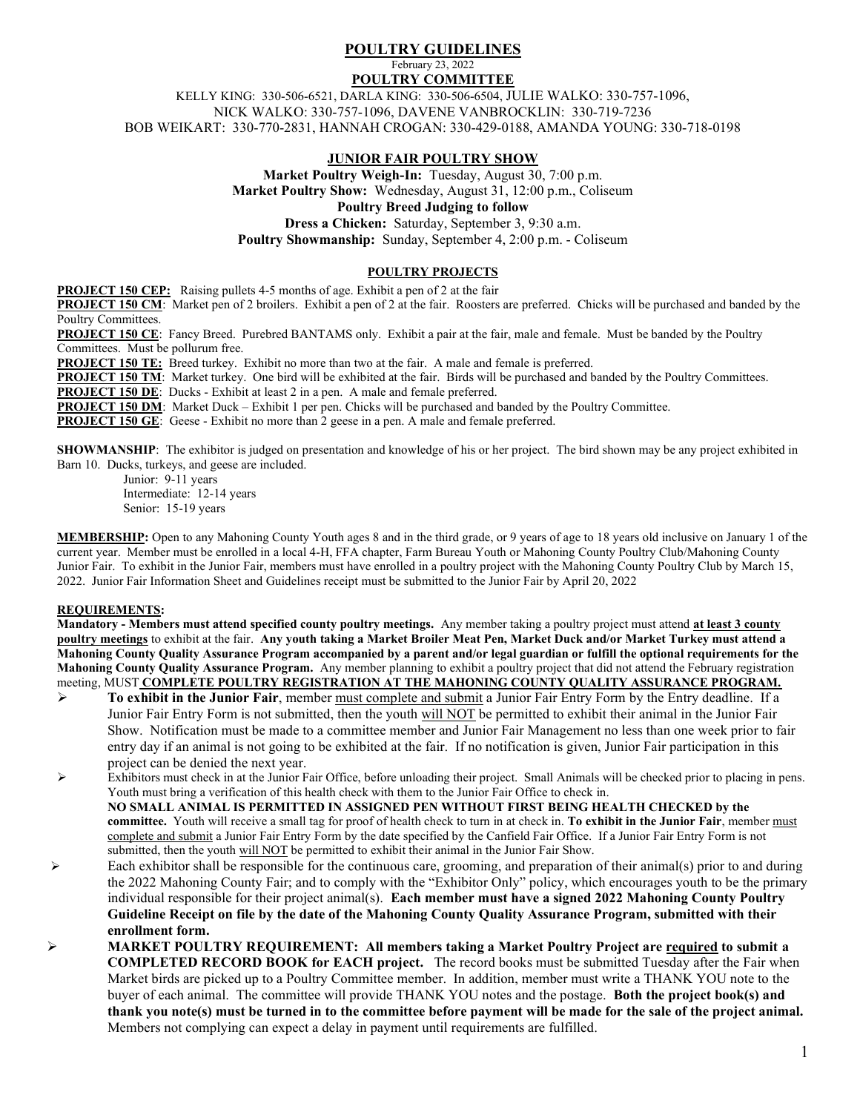## POULTRY GUIDELINES February 23, 2022 POULTRY COMMITTEE

KELLY KING: 330-506-6521, DARLA KING: 330-506-6504, JULIE WALKO: 330-757-1096, NICK WALKO: 330-757-1096, DAVENE VANBROCKLIN: 330-719-7236 BOB WEIKART: 330-770-2831, HANNAH CROGAN: 330-429-0188, AMANDA YOUNG: 330-718-0198

## JUNIOR FAIR POULTRY SHOW

Market Poultry Weigh-In: Tuesday, August 30, 7:00 p.m. Market Poultry Show: Wednesday, August 31, 12:00 p.m., Coliseum Poultry Breed Judging to follow Dress a Chicken: Saturday, September 3, 9:30 a.m.

Poultry Showmanship: Sunday, September 4, 2:00 p.m. - Coliseum

### POULTRY PROJECTS

PROJECT 150 CEP: Raising pullets 4-5 months of age. Exhibit a pen of 2 at the fair

**PROJECT 150 CM:** Market pen of 2 broilers. Exhibit a pen of 2 at the fair. Roosters are preferred. Chicks will be purchased and banded by the Poultry Committees.

PROJECT 150 CE: Fancy Breed. Purebred BANTAMS only. Exhibit a pair at the fair, male and female. Must be banded by the Poultry Committees. Must be pollurum free.

**PROJECT 150 TE:** Breed turkey. Exhibit no more than two at the fair. A male and female is preferred.

PROJECT 150 TM: Market turkey. One bird will be exhibited at the fair. Birds will be purchased and banded by the Poultry Committees.

PROJECT 150 DE: Ducks - Exhibit at least 2 in a pen. A male and female preferred.

PROJECT 150 DM: Market Duck – Exhibit 1 per pen. Chicks will be purchased and banded by the Poultry Committee.

PROJECT 150 GE: Geese - Exhibit no more than 2 geese in a pen. A male and female preferred.

**SHOWMANSHIP:** The exhibitor is judged on presentation and knowledge of his or her project. The bird shown may be any project exhibited in Barn 10. Ducks, turkeys, and geese are included.

 Junior: 9-11 years Intermediate: 12-14 years Senior: 15-19 years

MEMBERSHIP: Open to any Mahoning County Youth ages 8 and in the third grade, or 9 years of age to 18 years old inclusive on January 1 of the current year. Member must be enrolled in a local 4-H, FFA chapter, Farm Bureau Youth or Mahoning County Poultry Club/Mahoning County Junior Fair. To exhibit in the Junior Fair, members must have enrolled in a poultry project with the Mahoning County Poultry Club by March 15, 2022. Junior Fair Information Sheet and Guidelines receipt must be submitted to the Junior Fair by April 20, 2022

### REQUIREMENTS:

Mandatory - Members must attend specified county poultry meetings. Any member taking a poultry project must attend at least 3 county poultry meetings to exhibit at the fair. Any youth taking a Market Broiler Meat Pen, Market Duck and/or Market Turkey must attend a Mahoning County Quality Assurance Program accompanied by a parent and/or legal guardian or fulfill the optional requirements for the Mahoning County Quality Assurance Program. Any member planning to exhibit a poultry project that did not attend the February registration meeting, MUST COMPLETE POULTRY REGISTRATION AT THE MAHONING COUNTY QUALITY ASSURANCE PROGRAM.

- $\triangleright$  To exhibit in the Junior Fair, member must complete and submit a Junior Fair Entry Form by the Entry deadline. If a Junior Fair Entry Form is not submitted, then the youth will NOT be permitted to exhibit their animal in the Junior Fair Show. Notification must be made to a committee member and Junior Fair Management no less than one week prior to fair entry day if an animal is not going to be exhibited at the fair. If no notification is given, Junior Fair participation in this project can be denied the next year.
- Exhibitors must check in at the Junior Fair Office, before unloading their project. Small Animals will be checked prior to placing in pens. Youth must bring a verification of this health check with them to the Junior Fair Office to check in. NO SMALL ANIMAL IS PERMITTED IN ASSIGNED PEN WITHOUT FIRST BEING HEALTH CHECKED by the committee. Youth will receive a small tag for proof of health check to turn in at check in. To exhibit in the Junior Fair, member must complete and submit a Junior Fair Entry Form by the date specified by the Canfield Fair Office. If a Junior Fair Entry Form is not submitted, then the youth will NOT be permitted to exhibit their animal in the Junior Fair Show.
- Each exhibitor shall be responsible for the continuous care, grooming, and preparation of their animal(s) prior to and during the 2022 Mahoning County Fair; and to comply with the "Exhibitor Only" policy, which encourages youth to be the primary individual responsible for their project animal(s). Each member must have a signed 2022 Mahoning County Poultry Guideline Receipt on file by the date of the Mahoning County Quality Assurance Program, submitted with their enrollment form.
- $\triangleright$  MARKET POULTRY REQUIREMENT: All members taking a Market Poultry Project are required to submit a COMPLETED RECORD BOOK for EACH project. The record books must be submitted Tuesday after the Fair when Market birds are picked up to a Poultry Committee member. In addition, member must write a THANK YOU note to the buyer of each animal. The committee will provide THANK YOU notes and the postage. Both the project book(s) and thank you note(s) must be turned in to the committee before payment will be made for the sale of the project animal. Members not complying can expect a delay in payment until requirements are fulfilled.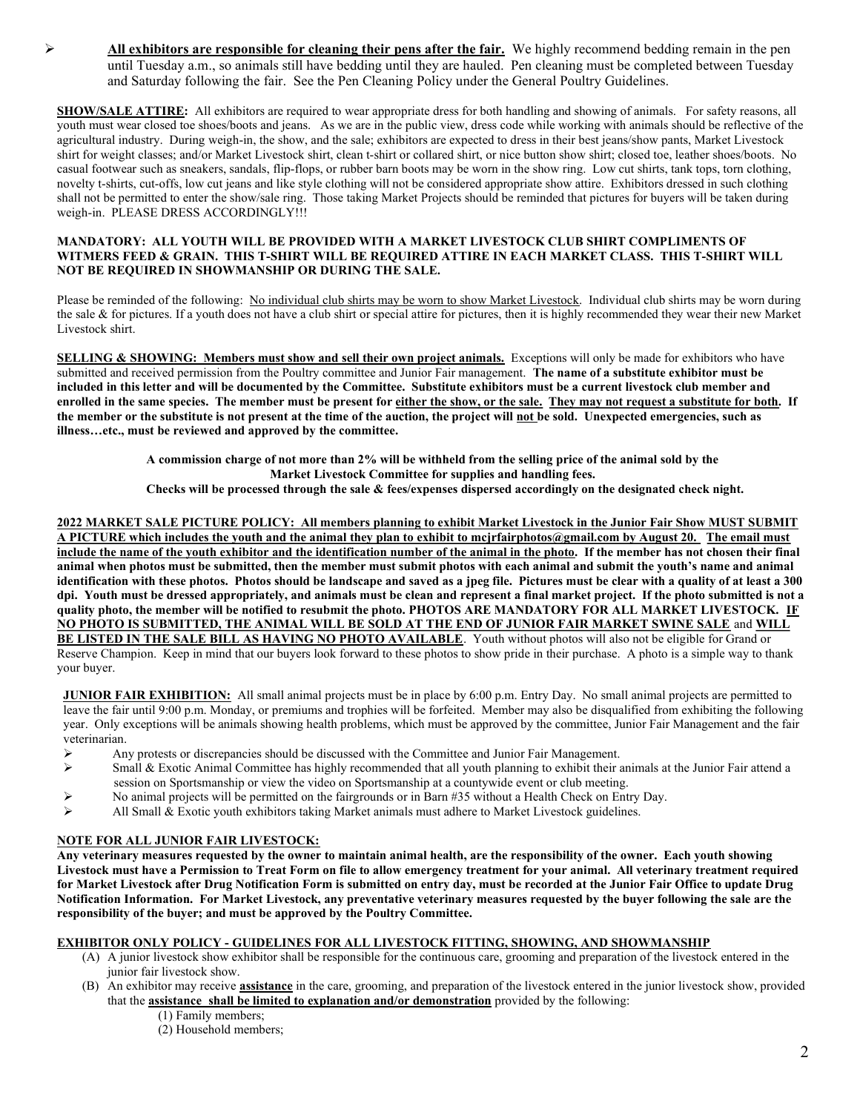$\triangleright$  All exhibitors are responsible for cleaning their pens after the fair. We highly recommend bedding remain in the pen until Tuesday a.m., so animals still have bedding until they are hauled. Pen cleaning must be completed between Tuesday and Saturday following the fair. See the Pen Cleaning Policy under the General Poultry Guidelines.

SHOW/SALE ATTIRE: All exhibitors are required to wear appropriate dress for both handling and showing of animals. For safety reasons, all youth must wear closed toe shoes/boots and jeans. As we are in the public view, dress code while working with animals should be reflective of the agricultural industry. During weigh-in, the show, and the sale; exhibitors are expected to dress in their best jeans/show pants, Market Livestock shirt for weight classes; and/or Market Livestock shirt, clean t-shirt or collared shirt, or nice button show shirt; closed toe, leather shoes/boots. No casual footwear such as sneakers, sandals, flip-flops, or rubber barn boots may be worn in the show ring. Low cut shirts, tank tops, torn clothing, novelty t-shirts, cut-offs, low cut jeans and like style clothing will not be considered appropriate show attire. Exhibitors dressed in such clothing shall not be permitted to enter the show/sale ring. Those taking Market Projects should be reminded that pictures for buyers will be taken during weigh-in. PLEASE DRESS ACCORDINGLY!!!

#### MANDATORY: ALL YOUTH WILL BE PROVIDED WITH A MARKET LIVESTOCK CLUB SHIRT COMPLIMENTS OF WITMERS FEED & GRAIN. THIS T-SHIRT WILL BE REQUIRED ATTIRE IN EACH MARKET CLASS. THIS T-SHIRT WILL NOT BE REQUIRED IN SHOWMANSHIP OR DURING THE SALE.

Please be reminded of the following: No individual club shirts may be worn to show Market Livestock. Individual club shirts may be worn during the sale & for pictures. If a youth does not have a club shirt or special attire for pictures, then it is highly recommended they wear their new Market Livestock shirt.

SELLING & SHOWING: Members must show and sell their own project animals. Exceptions will only be made for exhibitors who have submitted and received permission from the Poultry committee and Junior Fair management. The name of a substitute exhibitor must be included in this letter and will be documented by the Committee. Substitute exhibitors must be a current livestock club member and enrolled in the same species. The member must be present for either the show, or the sale. They may not request a substitute for both. If the member or the substitute is not present at the time of the auction, the project will not be sold. Unexpected emergencies, such as illness…etc., must be reviewed and approved by the committee.

> A commission charge of not more than 2% will be withheld from the selling price of the animal sold by the Market Livestock Committee for supplies and handling fees.

Checks will be processed through the sale & fees/expenses dispersed accordingly on the designated check night.

2022 MARKET SALE PICTURE POLICY: All members planning to exhibit Market Livestock in the Junior Fair Show MUST SUBMIT A PICTURE which includes the youth and the animal they plan to exhibit to mcjrfairphotos@gmail.com by August 20. The email must include the name of the youth exhibitor and the identification number of the animal in the photo. If the member has not chosen their final animal when photos must be submitted, then the member must submit photos with each animal and submit the youth's name and animal identification with these photos. Photos should be landscape and saved as a jpeg file. Pictures must be clear with a quality of at least a 300 dpi. Youth must be dressed appropriately, and animals must be clean and represent a final market project. If the photo submitted is not a quality photo, the member will be notified to resubmit the photo. PHOTOS ARE MANDATORY FOR ALL MARKET LIVESTOCK. IF NO PHOTO IS SUBMITTED, THE ANIMAL WILL BE SOLD AT THE END OF JUNIOR FAIR MARKET SWINE SALE and WILL BE LISTED IN THE SALE BILL AS HAVING NO PHOTO AVAILABLE. Youth without photos will also not be eligible for Grand or Reserve Champion. Keep in mind that our buyers look forward to these photos to show pride in their purchase. A photo is a simple way to thank your buyer.

**JUNIOR FAIR EXHIBITION:** All small animal projects must be in place by 6:00 p.m. Entry Day. No small animal projects are permitted to leave the fair until 9:00 p.m. Monday, or premiums and trophies will be forfeited. Member may also be disqualified from exhibiting the following year. Only exceptions will be animals showing health problems, which must be approved by the committee, Junior Fair Management and the fair veterinarian.

- Any protests or discrepancies should be discussed with the Committee and Junior Fair Management.
- $\triangleright$  Small & Exotic Animal Committee has highly recommended that all youth planning to exhibit their animals at the Junior Fair attend a session on Sportsmanship or view the video on Sportsmanship at a countywide event or club meeting.
- $\triangleright$  No animal projects will be permitted on the fairgrounds or in Barn #35 without a Health Check on Entry Day.
- $\triangleright$  All Small & Exotic youth exhibitors taking Market animals must adhere to Market Livestock guidelines.

# NOTE FOR ALL JUNIOR FAIR LIVESTOCK:

Any veterinary measures requested by the owner to maintain animal health, are the responsibility of the owner. Each youth showing Livestock must have a Permission to Treat Form on file to allow emergency treatment for your animal. All veterinary treatment required for Market Livestock after Drug Notification Form is submitted on entry day, must be recorded at the Junior Fair Office to update Drug Notification Information. For Market Livestock, any preventative veterinary measures requested by the buyer following the sale are the responsibility of the buyer; and must be approved by the Poultry Committee.

# EXHIBITOR ONLY POLICY - GUIDELINES FOR ALL LIVESTOCK FITTING, SHOWING, AND SHOWMANSHIP

- (A) A junior livestock show exhibitor shall be responsible for the continuous care, grooming and preparation of the livestock entered in the junior fair livestock show.
- (B) An exhibitor may receive assistance in the care, grooming, and preparation of the livestock entered in the junior livestock show, provided that the assistance shall be limited to explanation and/or demonstration provided by the following:
	- (1) Family members;
	- (2) Household members;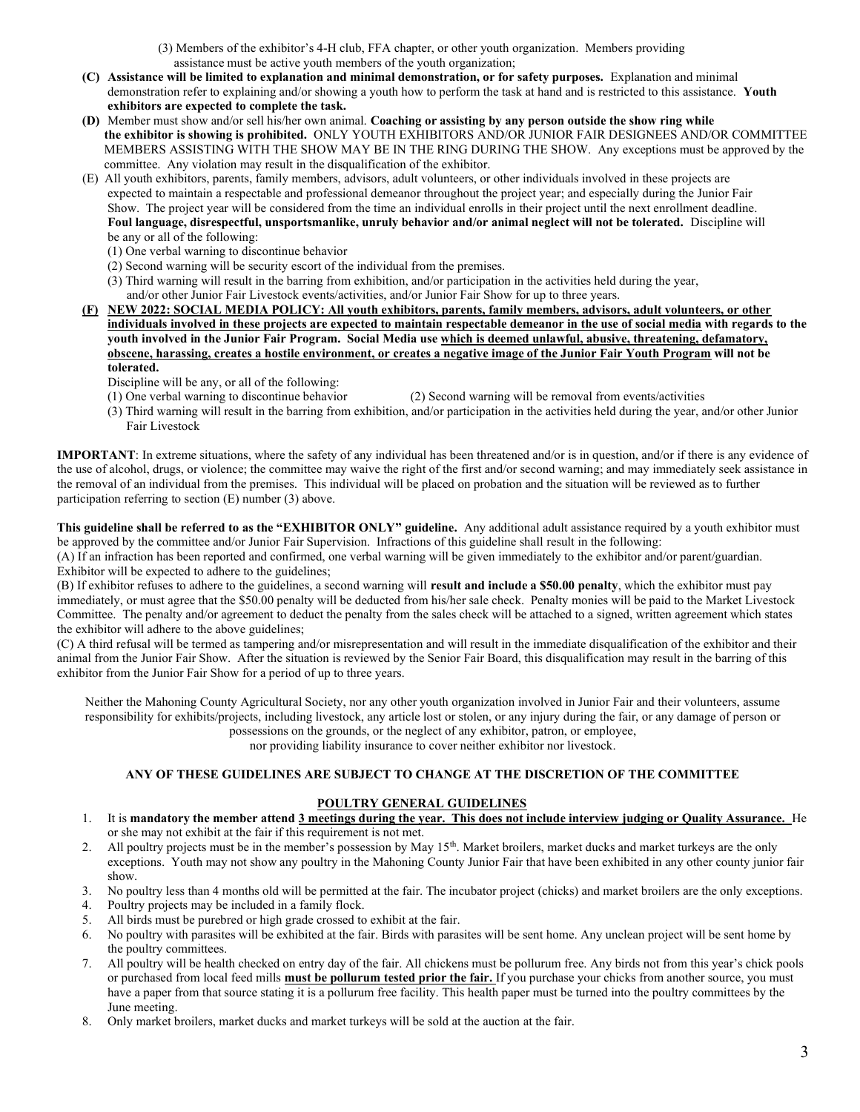(3) Members of the exhibitor's 4-H club, FFA chapter, or other youth organization. Members providing assistance must be active youth members of the youth organization;

- (C) Assistance will be limited to explanation and minimal demonstration, or for safety purposes. Explanation and minimal demonstration refer to explaining and/or showing a youth how to perform the task at hand and is restricted to this assistance. Youth exhibitors are expected to complete the task.
- (D) Member must show and/or sell his/her own animal. Coaching or assisting by any person outside the show ring while the exhibitor is showing is prohibited. ONLY YOUTH EXHIBITORS AND/OR JUNIOR FAIR DESIGNEES AND/OR COMMITTEE MEMBERS ASSISTING WITH THE SHOW MAY BE IN THE RING DURING THE SHOW. Any exceptions must be approved by the committee. Any violation may result in the disqualification of the exhibitor.
- (E) All youth exhibitors, parents, family members, advisors, adult volunteers, or other individuals involved in these projects are expected to maintain a respectable and professional demeanor throughout the project year; and especially during the Junior Fair Show. The project year will be considered from the time an individual enrolls in their project until the next enrollment deadline. Foul language, disrespectful, unsportsmanlike, unruly behavior and/or animal neglect will not be tolerated. Discipline will be any or all of the following:
	- (1) One verbal warning to discontinue behavior
	- (2) Second warning will be security escort of the individual from the premises.
	- (3) Third warning will result in the barring from exhibition, and/or participation in the activities held during the year, and/or other Junior Fair Livestock events/activities, and/or Junior Fair Show for up to three years.
- (F) NEW 2022: SOCIAL MEDIA POLICY: All youth exhibitors, parents, family members, advisors, adult volunteers, or other individuals involved in these projects are expected to maintain respectable demeanor in the use of social media with regards to the youth involved in the Junior Fair Program. Social Media use which is deemed unlawful, abusive, threatening, defamatory, obscene, harassing, creates a hostile environment, or creates a negative image of the Junior Fair Youth Program will not be tolerated.
	- Discipline will be any, or all of the following:
	- (1) One verbal warning to discontinue behavior (2) Second warning will be removal from events/activities
	- (3) Third warning will result in the barring from exhibition, and/or participation in the activities held during the year, and/or other Junior Fair Livestock

IMPORTANT: In extreme situations, where the safety of any individual has been threatened and/or is in question, and/or if there is any evidence of the use of alcohol, drugs, or violence; the committee may waive the right of the first and/or second warning; and may immediately seek assistance in the removal of an individual from the premises. This individual will be placed on probation and the situation will be reviewed as to further participation referring to section (E) number (3) above.

This guideline shall be referred to as the "EXHIBITOR ONLY" guideline. Any additional adult assistance required by a youth exhibitor must be approved by the committee and/or Junior Fair Supervision. Infractions of this guideline shall result in the following:

(A) If an infraction has been reported and confirmed, one verbal warning will be given immediately to the exhibitor and/or parent/guardian. Exhibitor will be expected to adhere to the guidelines;

(B) If exhibitor refuses to adhere to the guidelines, a second warning will result and include a \$50.00 penalty, which the exhibitor must pay immediately, or must agree that the \$50.00 penalty will be deducted from his/her sale check. Penalty monies will be paid to the Market Livestock Committee. The penalty and/or agreement to deduct the penalty from the sales check will be attached to a signed, written agreement which states the exhibitor will adhere to the above guidelines;

(C) A third refusal will be termed as tampering and/or misrepresentation and will result in the immediate disqualification of the exhibitor and their animal from the Junior Fair Show. After the situation is reviewed by the Senior Fair Board, this disqualification may result in the barring of this exhibitor from the Junior Fair Show for a period of up to three years.

Neither the Mahoning County Agricultural Society, nor any other youth organization involved in Junior Fair and their volunteers, assume responsibility for exhibits/projects, including livestock, any article lost or stolen, or any injury during the fair, or any damage of person or

possessions on the grounds, or the neglect of any exhibitor, patron, or employee,

nor providing liability insurance to cover neither exhibitor nor livestock.

## ANY OF THESE GUIDELINES ARE SUBJECT TO CHANGE AT THE DISCRETION OF THE COMMITTEE

### POULTRY GENERAL GUIDELINES

- 1. It is mandatory the member attend 3 meetings during the year. This does not include interview judging or Quality Assurance. He or she may not exhibit at the fair if this requirement is not met.
- 2. All poultry projects must be in the member's possession by May 15<sup>th</sup>. Market broilers, market ducks and market turkeys are the only exceptions. Youth may not show any poultry in the Mahoning County Junior Fair that have been exhibited in any other county junior fair show.
- 3. No poultry less than 4 months old will be permitted at the fair. The incubator project (chicks) and market broilers are the only exceptions.
- 4. Poultry projects may be included in a family flock.
- 5. All birds must be purebred or high grade crossed to exhibit at the fair.
- 6. No poultry with parasites will be exhibited at the fair. Birds with parasites will be sent home. Any unclean project will be sent home by the poultry committees.
- 7. All poultry will be health checked on entry day of the fair. All chickens must be pollurum free. Any birds not from this year's chick pools or purchased from local feed mills **must be pollurum tested prior the fair.** If you purchase your chicks from another source, you must have a paper from that source stating it is a pollurum free facility. This health paper must be turned into the poultry committees by the June meeting.
- 8. Only market broilers, market ducks and market turkeys will be sold at the auction at the fair.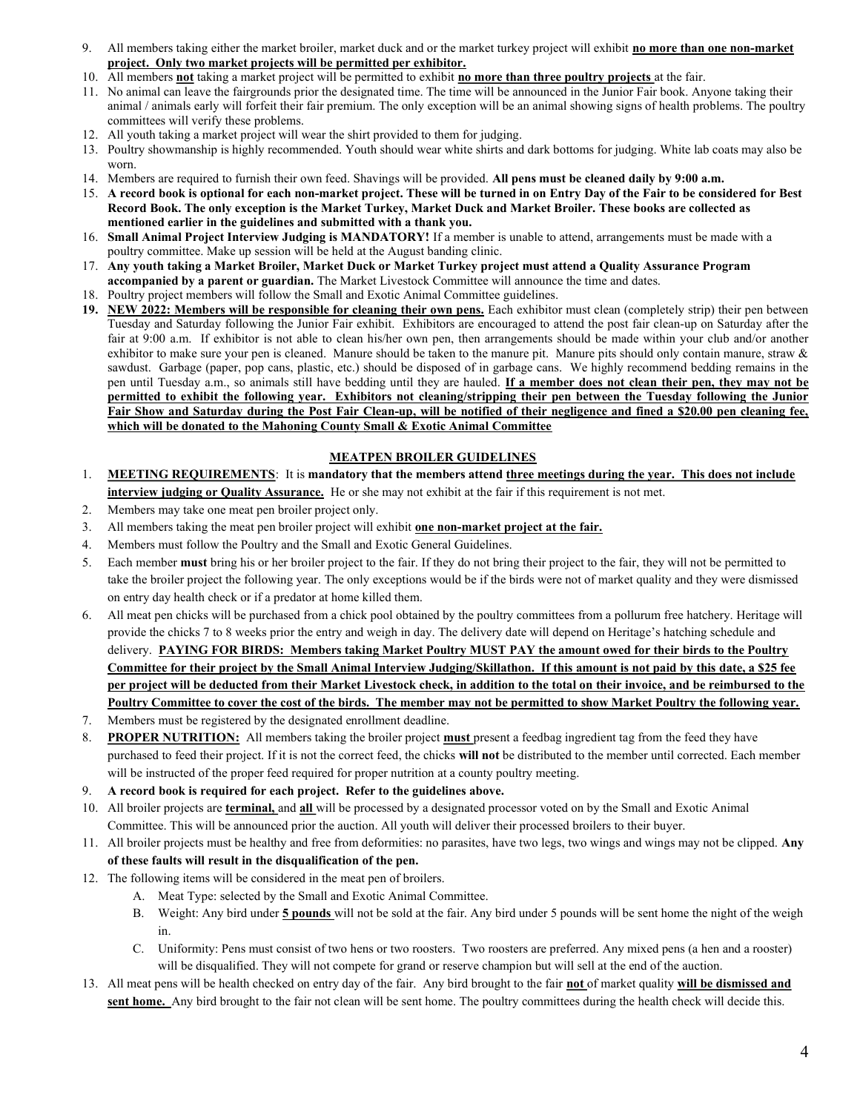- 9. All members taking either the market broiler, market duck and or the market turkey project will exhibit no more than one non-market project. Only two market projects will be permitted per exhibitor.
- 10. All members not taking a market project will be permitted to exhibit no more than three poultry projects at the fair.
- 11. No animal can leave the fairgrounds prior the designated time. The time will be announced in the Junior Fair book. Anyone taking their animal / animals early will forfeit their fair premium. The only exception will be an animal showing signs of health problems. The poultry committees will verify these problems.
- 12. All youth taking a market project will wear the shirt provided to them for judging.
- 13. Poultry showmanship is highly recommended. Youth should wear white shirts and dark bottoms for judging. White lab coats may also be worn.
- 14. Members are required to furnish their own feed. Shavings will be provided. All pens must be cleaned daily by 9:00 a.m.
- 15. A record book is optional for each non-market project. These will be turned in on Entry Day of the Fair to be considered for Best Record Book. The only exception is the Market Turkey, Market Duck and Market Broiler. These books are collected as mentioned earlier in the guidelines and submitted with a thank you.
- 16. Small Animal Project Interview Judging is MANDATORY! If a member is unable to attend, arrangements must be made with a poultry committee. Make up session will be held at the August banding clinic.
- 17. Any youth taking a Market Broiler, Market Duck or Market Turkey project must attend a Quality Assurance Program accompanied by a parent or guardian. The Market Livestock Committee will announce the time and dates.
- 18. Poultry project members will follow the Small and Exotic Animal Committee guidelines.
- 19. NEW 2022: Members will be responsible for cleaning their own pens. Each exhibitor must clean (completely strip) their pen between Tuesday and Saturday following the Junior Fair exhibit. Exhibitors are encouraged to attend the post fair clean-up on Saturday after the fair at 9:00 a.m. If exhibitor is not able to clean his/her own pen, then arrangements should be made within your club and/or another exhibitor to make sure your pen is cleaned. Manure should be taken to the manure pit. Manure pits should only contain manure, straw  $\&$ sawdust. Garbage (paper, pop cans, plastic, etc.) should be disposed of in garbage cans. We highly recommend bedding remains in the pen until Tuesday a.m., so animals still have bedding until they are hauled. If a member does not clean their pen, they may not be permitted to exhibit the following year. Exhibitors not cleaning/stripping their pen between the Tuesday following the Junior Fair Show and Saturday during the Post Fair Clean-up, will be notified of their negligence and fined a \$20.00 pen cleaning fee, which will be donated to the Mahoning County Small & Exotic Animal Committee

# MEATPEN BROILER GUIDELINES

- 1. MEETING REQUIREMENTS: It is mandatory that the members attend three meetings during the year. This does not include interview judging or Quality Assurance. He or she may not exhibit at the fair if this requirement is not met.
- 2. Members may take one meat pen broiler project only.
- 3. All members taking the meat pen broiler project will exhibit one non-market project at the fair.
- 4. Members must follow the Poultry and the Small and Exotic General Guidelines.
- 5. Each member must bring his or her broiler project to the fair. If they do not bring their project to the fair, they will not be permitted to take the broiler project the following year. The only exceptions would be if the birds were not of market quality and they were dismissed on entry day health check or if a predator at home killed them.
- 6. All meat pen chicks will be purchased from a chick pool obtained by the poultry committees from a pollurum free hatchery. Heritage will provide the chicks 7 to 8 weeks prior the entry and weigh in day. The delivery date will depend on Heritage's hatching schedule and delivery. PAYING FOR BIRDS: Members taking Market Poultry MUST PAY the amount owed for their birds to the Poultry Committee for their project by the Small Animal Interview Judging/Skillathon. If this amount is not paid by this date, a \$25 fee per project will be deducted from their Market Livestock check, in addition to the total on their invoice, and be reimbursed to the Poultry Committee to cover the cost of the birds. The member may not be permitted to show Market Poultry the following year.
- 7. Members must be registered by the designated enrollment deadline.
- 8. PROPER NUTRITION: All members taking the broiler project must present a feedbag ingredient tag from the feed they have purchased to feed their project. If it is not the correct feed, the chicks will not be distributed to the member until corrected. Each member will be instructed of the proper feed required for proper nutrition at a county poultry meeting.
- 9. A record book is required for each project. Refer to the guidelines above.
- 10. All broiler projects are terminal, and all will be processed by a designated processor voted on by the Small and Exotic Animal Committee. This will be announced prior the auction. All youth will deliver their processed broilers to their buyer.
- 11. All broiler projects must be healthy and free from deformities: no parasites, have two legs, two wings and wings may not be clipped. Any of these faults will result in the disqualification of the pen.
- 12. The following items will be considered in the meat pen of broilers.
	- A. Meat Type: selected by the Small and Exotic Animal Committee.
	- B. Weight: Any bird under 5 pounds will not be sold at the fair. Any bird under 5 pounds will be sent home the night of the weigh in.
	- C. Uniformity: Pens must consist of two hens or two roosters. Two roosters are preferred. Any mixed pens (a hen and a rooster) will be disqualified. They will not compete for grand or reserve champion but will sell at the end of the auction.
- 13. All meat pens will be health checked on entry day of the fair. Any bird brought to the fair not of market quality will be dismissed and sent home. Any bird brought to the fair not clean will be sent home. The poultry committees during the health check will decide this.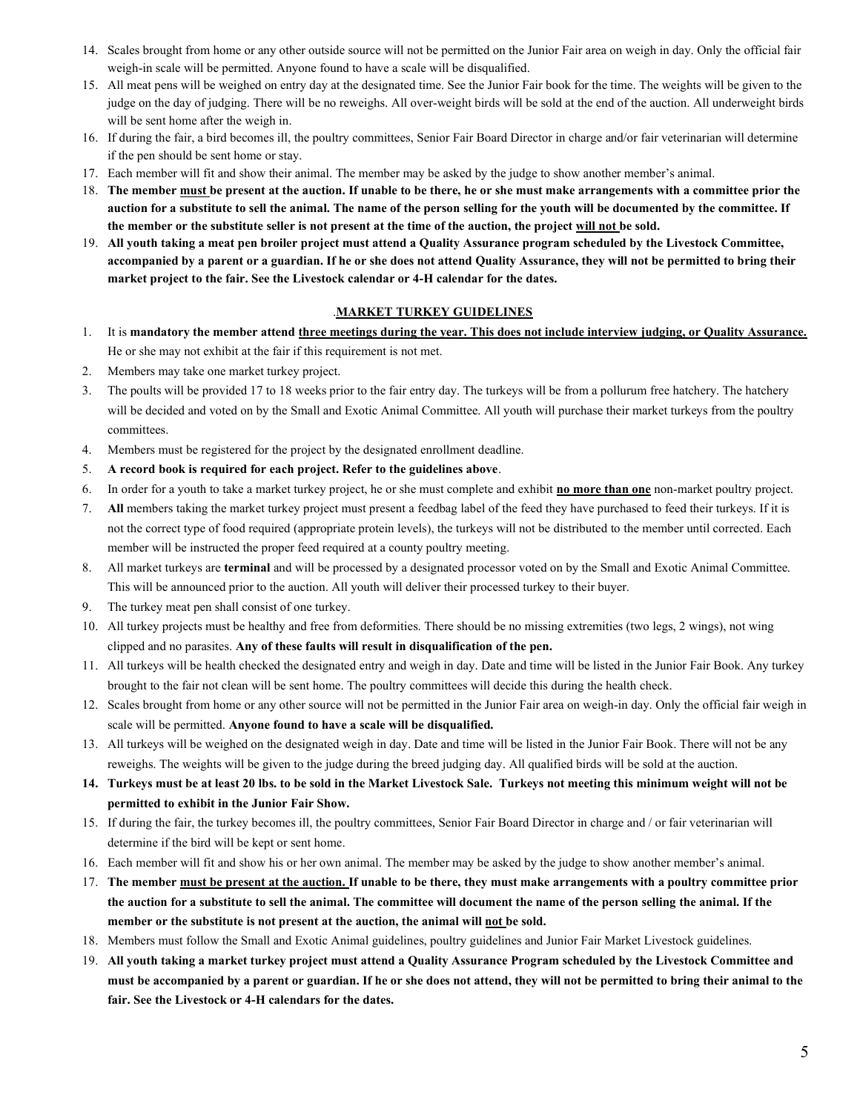- 14. Scales brought from home or any other outside source will not be permitted on the Junior Fair area on weigh in day. Only the official fair weigh-in scale will be permitted. Anyone found to have a scale will be disqualified.
- 15. All meat pens will be weighed on entry day at the designated time. See the Junior Fair book for the time. The weights will be given to the judge on the day of judging. There will be no reweighs. All over-weight birds will be sold at the end of the auction. All underweight birds will be sent home after the weigh in.
- 16. If during the fair, a bird becomes ill, the poultry committees, Senior Fair Board Director in charge and/or fair veterinarian will determine if the pen should be sent home or stay.
- 17. Each member will fit and show their animal. The member may be asked by the judge to show another member's animal.
- 18. The member must be present at the auction. If unable to be there, he or she must make arrangements with a committee prior the auction for a substitute to sell the animal. The name of the person selling for the youth will be documented by the committee. If the member or the substitute seller is not present at the time of the auction, the project will not be sold.
- 19. All youth taking a meat pen broiler project must attend a Quality Assurance program scheduled by the Livestock Committee, accompanied by a parent or a guardian. If he or she does not attend Quality Assurance, they will not be permitted to bring their market project to the fair. See the Livestock calendar or 4-H calendar for the dates.

## .MARKET TURKEY GUIDELINES

- 1. It is mandatory the member attend three meetings during the year. This does not include interview judging, or Quality Assurance. He or she may not exhibit at the fair if this requirement is not met.
- 2. Members may take one market turkey project.
- 3. The poults will be provided 17 to 18 weeks prior to the fair entry day. The turkeys will be from a pollurum free hatchery. The hatchery will be decided and voted on by the Small and Exotic Animal Committee. All youth will purchase their market turkeys from the poultry committees.
- 4. Members must be registered for the project by the designated enrollment deadline.
- 5. A record book is required for each project. Refer to the guidelines above.
- 6. In order for a youth to take a market turkey project, he or she must complete and exhibit no more than one non-market poultry project.
- 7. All members taking the market turkey project must present a feedbag label of the feed they have purchased to feed their turkeys. If it is not the correct type of food required (appropriate protein levels), the turkeys will not be distributed to the member until corrected. Each member will be instructed the proper feed required at a county poultry meeting.
- 8. All market turkeys are terminal and will be processed by a designated processor voted on by the Small and Exotic Animal Committee. This will be announced prior to the auction. All youth will deliver their processed turkey to their buyer.
- 9. The turkey meat pen shall consist of one turkey.
- 10. All turkey projects must be healthy and free from deformities. There should be no missing extremities (two legs, 2 wings), not wing clipped and no parasites. Any of these faults will result in disqualification of the pen.
- 11. All turkeys will be health checked the designated entry and weigh in day. Date and time will be listed in the Junior Fair Book. Any turkey brought to the fair not clean will be sent home. The poultry committees will decide this during the health check.
- 12. Scales brought from home or any other source will not be permitted in the Junior Fair area on weigh-in day. Only the official fair weigh in scale will be permitted. Anyone found to have a scale will be disqualified.
- 13. All turkeys will be weighed on the designated weigh in day. Date and time will be listed in the Junior Fair Book. There will not be any reweighs. The weights will be given to the judge during the breed judging day. All qualified birds will be sold at the auction.
- 14. Turkeys must be at least 20 lbs. to be sold in the Market Livestock Sale. Turkeys not meeting this minimum weight will not be permitted to exhibit in the Junior Fair Show.
- 15. If during the fair, the turkey becomes ill, the poultry committees, Senior Fair Board Director in charge and / or fair veterinarian will determine if the bird will be kept or sent home.
- 16. Each member will fit and show his or her own animal. The member may be asked by the judge to show another member's animal.
- 17. The member must be present at the auction. If unable to be there, they must make arrangements with a poultry committee prior the auction for a substitute to sell the animal. The committee will document the name of the person selling the animal. If the member or the substitute is not present at the auction, the animal will not be sold.
- 18. Members must follow the Small and Exotic Animal guidelines, poultry guidelines and Junior Fair Market Livestock guidelines.
- 19. All youth taking a market turkey project must attend a Quality Assurance Program scheduled by the Livestock Committee and must be accompanied by a parent or guardian. If he or she does not attend, they will not be permitted to bring their animal to the fair. See the Livestock or 4-H calendars for the dates.